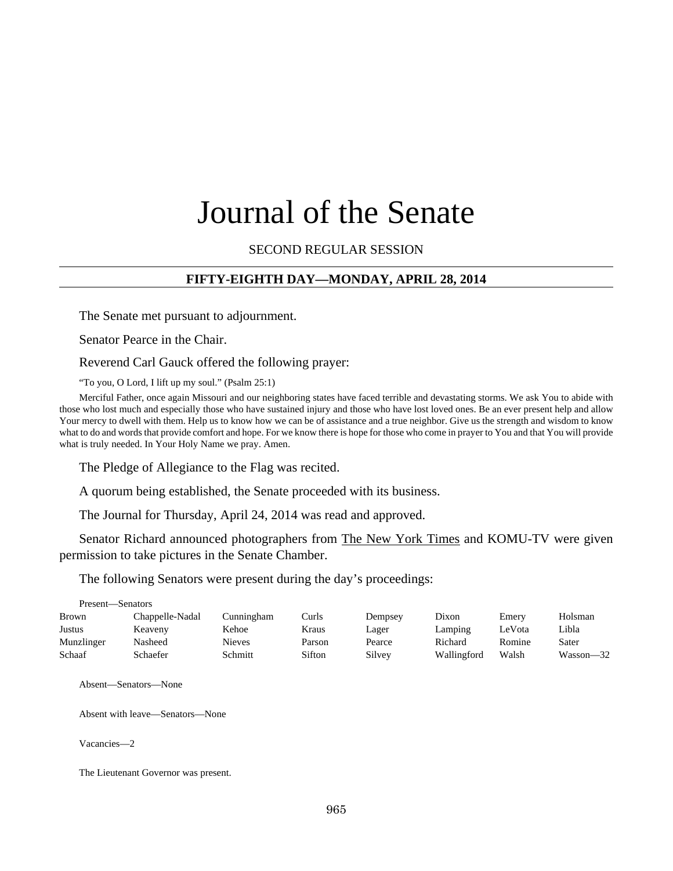# Journal of the Senate

SECOND REGULAR SESSION

## **FIFTY-EIGHTH DAY—MONDAY, APRIL 28, 2014**

The Senate met pursuant to adjournment.

Senator Pearce in the Chair.

Reverend Carl Gauck offered the following prayer:

"To you, O Lord, I lift up my soul." (Psalm 25:1)

Merciful Father, once again Missouri and our neighboring states have faced terrible and devastating storms. We ask You to abide with those who lost much and especially those who have sustained injury and those who have lost loved ones. Be an ever present help and allow Your mercy to dwell with them. Help us to know how we can be of assistance and a true neighbor. Give us the strength and wisdom to know what to do and words that provide comfort and hope. For we know there is hope for those who come in prayer to You and that You will provide what is truly needed. In Your Holy Name we pray. Amen.

The Pledge of Allegiance to the Flag was recited.

A quorum being established, the Senate proceeded with its business.

The Journal for Thursday, April 24, 2014 was read and approved.

Senator Richard announced photographers from The New York Times and KOMU-TV were given permission to take pictures in the Senate Chamber.

The following Senators were present during the day's proceedings:

| Present—Senators |                 |            |        |         |             |        |           |
|------------------|-----------------|------------|--------|---------|-------------|--------|-----------|
| <b>Brown</b>     | Chappelle-Nadal | Cunningham | Curls  | Dempsey | Dixon       | Emery  | Holsman   |
| Justus           | Keaveny         | Kehoe      | Kraus  | Lager   | Lamping     | LeVota | Libla     |
| Munzlinger       | Nasheed         | Nieves     | Parson | Pearce  | Richard     | Romine | Sater     |
| Schaaf           | Schaefer        | Schmitt    | Sifton | Silvey  | Wallingford | Walsh  | Wasson—32 |

Absent—Senators—None

Absent with leave—Senators—None

Vacancies—2

The Lieutenant Governor was present.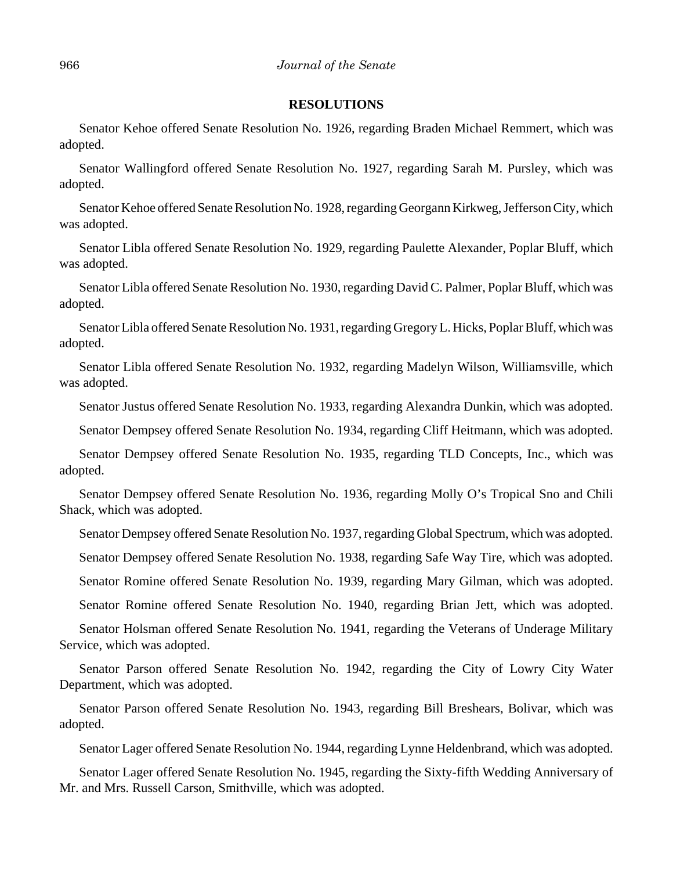#### **RESOLUTIONS**

Senator Kehoe offered Senate Resolution No. 1926, regarding Braden Michael Remmert, which was adopted.

Senator Wallingford offered Senate Resolution No. 1927, regarding Sarah M. Pursley, which was adopted.

Senator Kehoe offered Senate Resolution No. 1928, regarding Georgann Kirkweg, Jefferson City, which was adopted.

Senator Libla offered Senate Resolution No. 1929, regarding Paulette Alexander, Poplar Bluff, which was adopted.

Senator Libla offered Senate Resolution No. 1930, regarding David C. Palmer, Poplar Bluff, which was adopted.

Senator Libla offered Senate Resolution No. 1931, regarding Gregory L. Hicks, Poplar Bluff, which was adopted.

Senator Libla offered Senate Resolution No. 1932, regarding Madelyn Wilson, Williamsville, which was adopted.

Senator Justus offered Senate Resolution No. 1933, regarding Alexandra Dunkin, which was adopted.

Senator Dempsey offered Senate Resolution No. 1934, regarding Cliff Heitmann, which was adopted.

Senator Dempsey offered Senate Resolution No. 1935, regarding TLD Concepts, Inc., which was adopted.

Senator Dempsey offered Senate Resolution No. 1936, regarding Molly O's Tropical Sno and Chili Shack, which was adopted.

Senator Dempsey offered Senate Resolution No. 1937, regarding Global Spectrum, which was adopted.

Senator Dempsey offered Senate Resolution No. 1938, regarding Safe Way Tire, which was adopted.

Senator Romine offered Senate Resolution No. 1939, regarding Mary Gilman, which was adopted.

Senator Romine offered Senate Resolution No. 1940, regarding Brian Jett, which was adopted.

Senator Holsman offered Senate Resolution No. 1941, regarding the Veterans of Underage Military Service, which was adopted.

Senator Parson offered Senate Resolution No. 1942, regarding the City of Lowry City Water Department, which was adopted.

Senator Parson offered Senate Resolution No. 1943, regarding Bill Breshears, Bolivar, which was adopted.

Senator Lager offered Senate Resolution No. 1944, regarding Lynne Heldenbrand, which was adopted.

Senator Lager offered Senate Resolution No. 1945, regarding the Sixty-fifth Wedding Anniversary of Mr. and Mrs. Russell Carson, Smithville, which was adopted.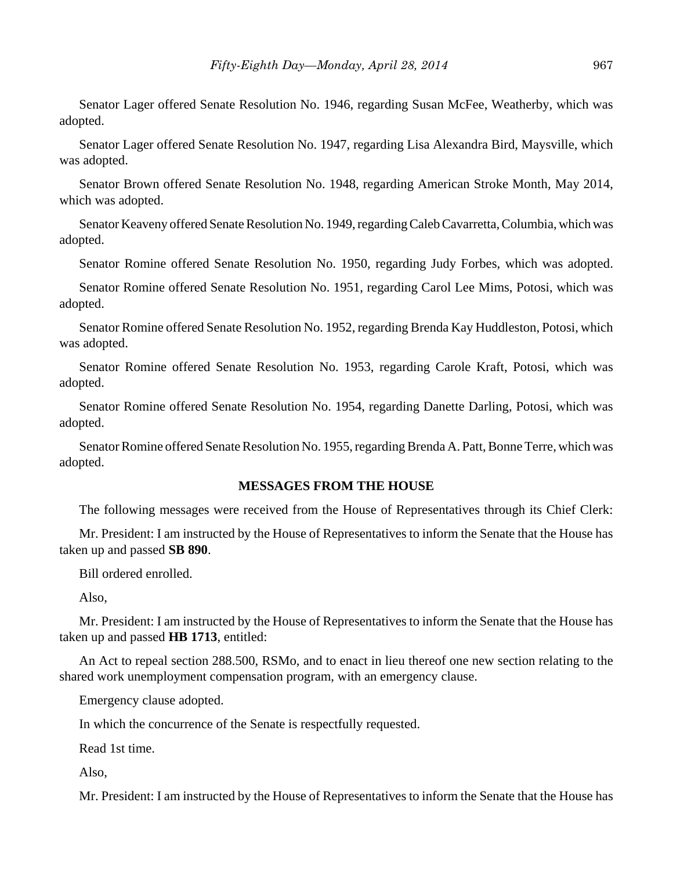Senator Lager offered Senate Resolution No. 1946, regarding Susan McFee, Weatherby, which was adopted.

Senator Lager offered Senate Resolution No. 1947, regarding Lisa Alexandra Bird, Maysville, which was adopted.

Senator Brown offered Senate Resolution No. 1948, regarding American Stroke Month, May 2014, which was adopted.

Senator Keaveny offered Senate Resolution No. 1949, regarding Caleb Cavarretta, Columbia, which was adopted.

Senator Romine offered Senate Resolution No. 1950, regarding Judy Forbes, which was adopted.

Senator Romine offered Senate Resolution No. 1951, regarding Carol Lee Mims, Potosi, which was adopted.

Senator Romine offered Senate Resolution No. 1952, regarding Brenda Kay Huddleston, Potosi, which was adopted.

Senator Romine offered Senate Resolution No. 1953, regarding Carole Kraft, Potosi, which was adopted.

Senator Romine offered Senate Resolution No. 1954, regarding Danette Darling, Potosi, which was adopted.

Senator Romine offered Senate Resolution No. 1955, regarding Brenda A. Patt, Bonne Terre, which was adopted.

#### **MESSAGES FROM THE HOUSE**

The following messages were received from the House of Representatives through its Chief Clerk:

Mr. President: I am instructed by the House of Representatives to inform the Senate that the House has taken up and passed **SB 890**.

Bill ordered enrolled.

Also,

Mr. President: I am instructed by the House of Representatives to inform the Senate that the House has taken up and passed **HB 1713**, entitled:

An Act to repeal section 288.500, RSMo, and to enact in lieu thereof one new section relating to the shared work unemployment compensation program, with an emergency clause.

Emergency clause adopted.

In which the concurrence of the Senate is respectfully requested.

Read 1st time.

Also,

Mr. President: I am instructed by the House of Representatives to inform the Senate that the House has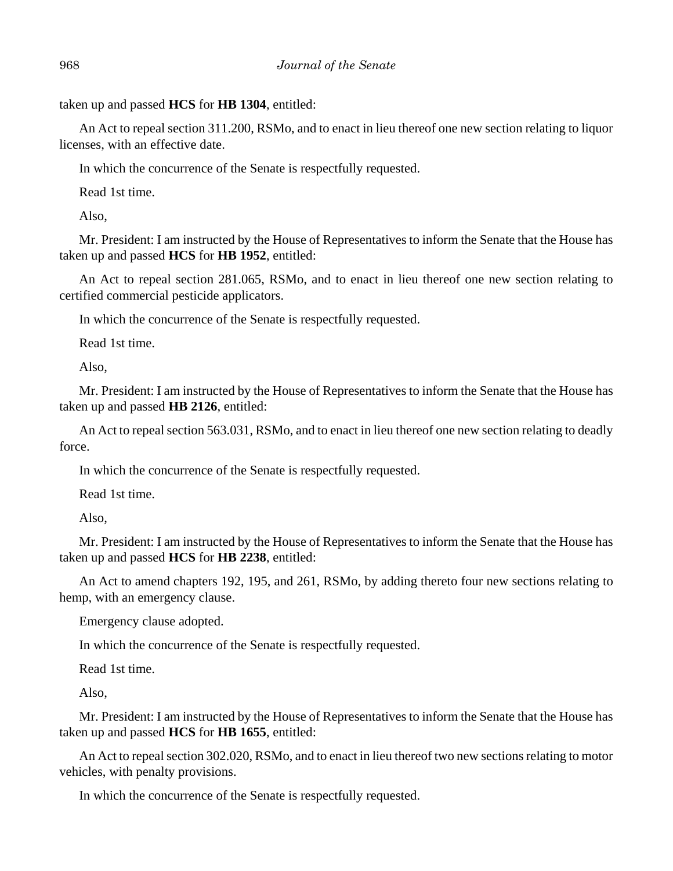taken up and passed **HCS** for **HB 1304**, entitled:

An Act to repeal section 311.200, RSMo, and to enact in lieu thereof one new section relating to liquor licenses, with an effective date.

In which the concurrence of the Senate is respectfully requested.

Read 1st time.

Also,

Mr. President: I am instructed by the House of Representatives to inform the Senate that the House has taken up and passed **HCS** for **HB 1952**, entitled:

An Act to repeal section 281.065, RSMo, and to enact in lieu thereof one new section relating to certified commercial pesticide applicators.

In which the concurrence of the Senate is respectfully requested.

Read 1st time.

Also,

Mr. President: I am instructed by the House of Representatives to inform the Senate that the House has taken up and passed **HB 2126**, entitled:

An Act to repeal section 563.031, RSMo, and to enact in lieu thereof one new section relating to deadly force.

In which the concurrence of the Senate is respectfully requested.

Read 1st time.

Also,

Mr. President: I am instructed by the House of Representatives to inform the Senate that the House has taken up and passed **HCS** for **HB 2238**, entitled:

An Act to amend chapters 192, 195, and 261, RSMo, by adding thereto four new sections relating to hemp, with an emergency clause.

Emergency clause adopted.

In which the concurrence of the Senate is respectfully requested.

Read 1st time.

Also,

Mr. President: I am instructed by the House of Representatives to inform the Senate that the House has taken up and passed **HCS** for **HB 1655**, entitled:

An Act to repeal section 302.020, RSMo, and to enact in lieu thereof two new sections relating to motor vehicles, with penalty provisions.

In which the concurrence of the Senate is respectfully requested.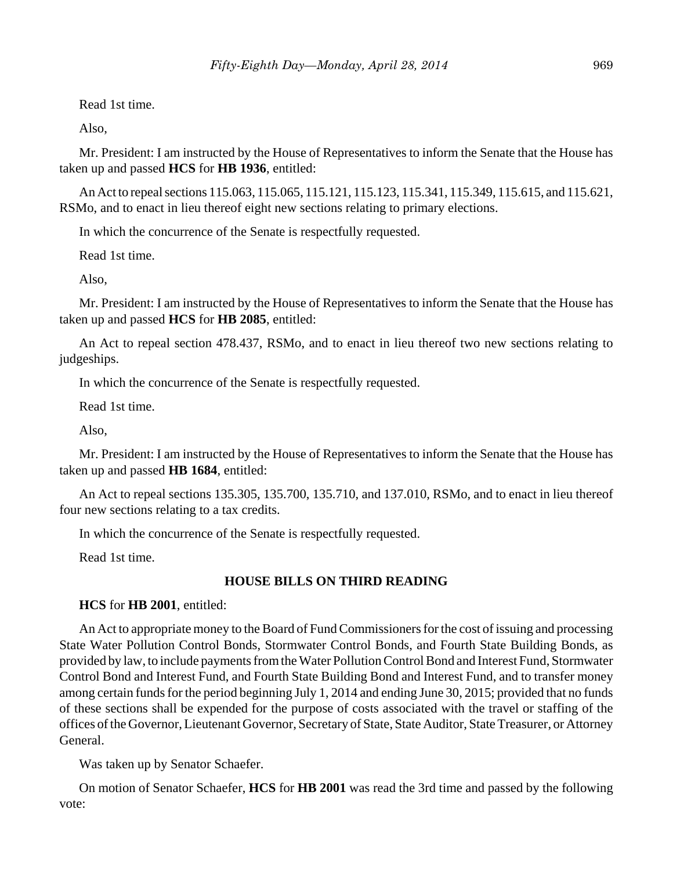Read 1st time.

Also,

Mr. President: I am instructed by the House of Representatives to inform the Senate that the House has taken up and passed **HCS** for **HB 1936**, entitled:

An Act to repeal sections 115.063, 115.065, 115.121, 115.123, 115.341, 115.349, 115.615, and 115.621, RSMo, and to enact in lieu thereof eight new sections relating to primary elections.

In which the concurrence of the Senate is respectfully requested.

Read 1st time.

Also,

Mr. President: I am instructed by the House of Representatives to inform the Senate that the House has taken up and passed **HCS** for **HB 2085**, entitled:

An Act to repeal section 478.437, RSMo, and to enact in lieu thereof two new sections relating to judgeships.

In which the concurrence of the Senate is respectfully requested.

Read 1st time.

Also,

Mr. President: I am instructed by the House of Representatives to inform the Senate that the House has taken up and passed **HB 1684**, entitled:

An Act to repeal sections 135.305, 135.700, 135.710, and 137.010, RSMo, and to enact in lieu thereof four new sections relating to a tax credits.

In which the concurrence of the Senate is respectfully requested.

Read 1st time.

# **HOUSE BILLS ON THIRD READING**

**HCS** for **HB 2001**, entitled:

An Act to appropriate money to the Board of Fund Commissioners for the cost of issuing and processing State Water Pollution Control Bonds, Stormwater Control Bonds, and Fourth State Building Bonds, as provided by law, to include payments from the Water Pollution Control Bond and Interest Fund, Stormwater Control Bond and Interest Fund, and Fourth State Building Bond and Interest Fund, and to transfer money among certain funds for the period beginning July 1, 2014 and ending June 30, 2015; provided that no funds of these sections shall be expended for the purpose of costs associated with the travel or staffing of the offices of the Governor, Lieutenant Governor, Secretary of State, State Auditor, State Treasurer, or Attorney General.

Was taken up by Senator Schaefer.

On motion of Senator Schaefer, **HCS** for **HB 2001** was read the 3rd time and passed by the following vote: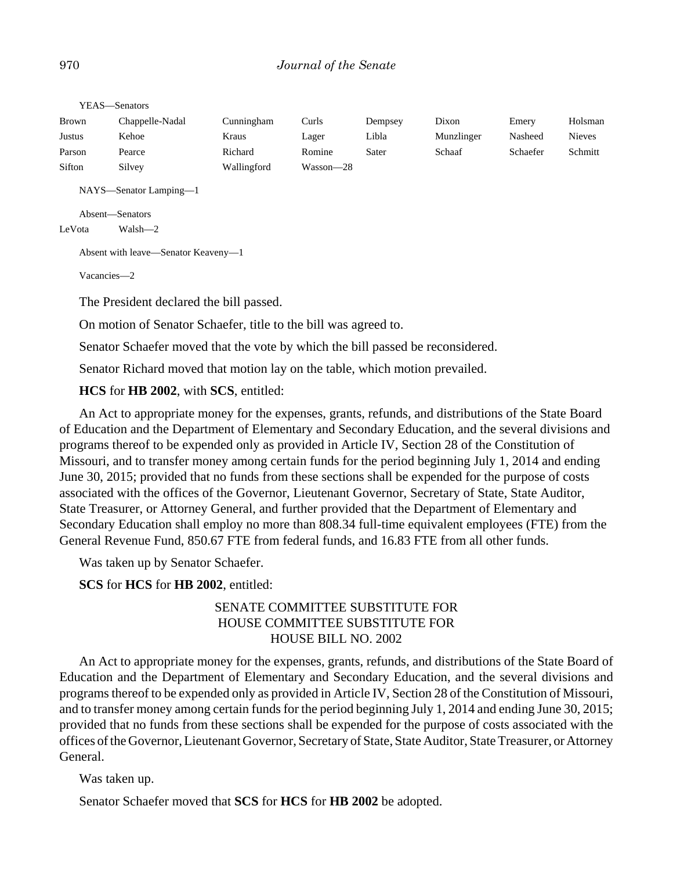| <b>Brown</b> | Chappelle-Nadal            | Cunningham  | Curls     | Dempsey | Dixon      | Emery    | Holsman       |
|--------------|----------------------------|-------------|-----------|---------|------------|----------|---------------|
| Justus       | Kehoe                      | Kraus       | Lager     | Libla   | Munzlinger | Nasheed  | <b>Nieves</b> |
| Parson       | Pearce                     | Richard     | Romine    | Sater   | Schaaf     | Schaefer | Schmitt       |
| Sifton       | Silvey                     | Wallingford | Wasson-28 |         |            |          |               |
|              | $NTAXC = C_{\text{model}}$ |             |           |         |            |          |               |

YEAS—Senators

NAYS—Senator Lamping—1

Absent—Senators

LeVota Walsh—2

Absent with leave—Senator Keaveny—1

Vacancies—2

The President declared the bill passed.

On motion of Senator Schaefer, title to the bill was agreed to.

Senator Schaefer moved that the vote by which the bill passed be reconsidered.

Senator Richard moved that motion lay on the table, which motion prevailed.

**HCS** for **HB 2002**, with **SCS**, entitled:

An Act to appropriate money for the expenses, grants, refunds, and distributions of the State Board of Education and the Department of Elementary and Secondary Education, and the several divisions and programs thereof to be expended only as provided in Article IV, Section 28 of the Constitution of Missouri, and to transfer money among certain funds for the period beginning July 1, 2014 and ending June 30, 2015; provided that no funds from these sections shall be expended for the purpose of costs associated with the offices of the Governor, Lieutenant Governor, Secretary of State, State Auditor, State Treasurer, or Attorney General, and further provided that the Department of Elementary and Secondary Education shall employ no more than 808.34 full-time equivalent employees (FTE) from the General Revenue Fund, 850.67 FTE from federal funds, and 16.83 FTE from all other funds.

Was taken up by Senator Schaefer.

**SCS** for **HCS** for **HB 2002**, entitled:

# SENATE COMMITTEE SUBSTITUTE FOR HOUSE COMMITTEE SUBSTITUTE FOR HOUSE BILL NO. 2002

An Act to appropriate money for the expenses, grants, refunds, and distributions of the State Board of Education and the Department of Elementary and Secondary Education, and the several divisions and programs thereof to be expended only as provided in Article IV, Section 28 of the Constitution of Missouri, and to transfer money among certain funds for the period beginning July 1, 2014 and ending June 30, 2015; provided that no funds from these sections shall be expended for the purpose of costs associated with the offices of the Governor, Lieutenant Governor, Secretary of State, State Auditor, State Treasurer, or Attorney General.

Was taken up.

Senator Schaefer moved that **SCS** for **HCS** for **HB 2002** be adopted.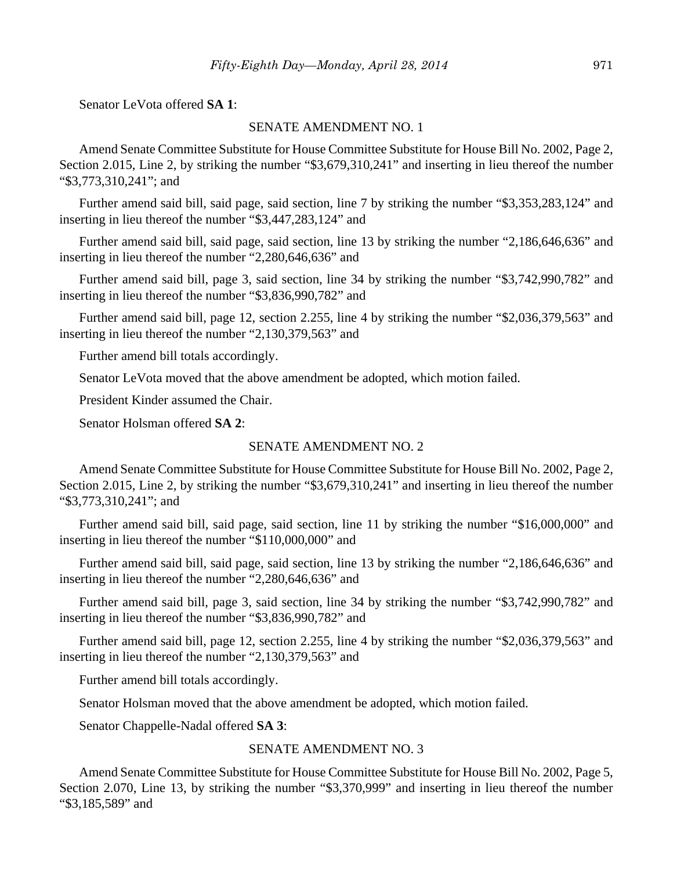Senator LeVota offered **SA 1**:

#### SENATE AMENDMENT NO. 1

Amend Senate Committee Substitute for House Committee Substitute for House Bill No. 2002, Page 2, Section 2.015, Line 2, by striking the number "\$3,679,310,241" and inserting in lieu thereof the number "\$3,773,310,241"; and

Further amend said bill, said page, said section, line 7 by striking the number "\$3,353,283,124" and inserting in lieu thereof the number "\$3,447,283,124" and

Further amend said bill, said page, said section, line 13 by striking the number "2,186,646,636" and inserting in lieu thereof the number "2,280,646,636" and

Further amend said bill, page 3, said section, line 34 by striking the number "\$3,742,990,782" and inserting in lieu thereof the number "\$3,836,990,782" and

Further amend said bill, page 12, section 2.255, line 4 by striking the number "\$2,036,379,563" and inserting in lieu thereof the number "2,130,379,563" and

Further amend bill totals accordingly.

Senator LeVota moved that the above amendment be adopted, which motion failed.

President Kinder assumed the Chair.

Senator Holsman offered **SA 2**:

#### SENATE AMENDMENT NO. 2

Amend Senate Committee Substitute for House Committee Substitute for House Bill No. 2002, Page 2, Section 2.015, Line 2, by striking the number "\$3,679,310,241" and inserting in lieu thereof the number "\$3,773,310,241"; and

Further amend said bill, said page, said section, line 11 by striking the number "\$16,000,000" and inserting in lieu thereof the number "\$110,000,000" and

Further amend said bill, said page, said section, line 13 by striking the number "2,186,646,636" and inserting in lieu thereof the number "2,280,646,636" and

Further amend said bill, page 3, said section, line 34 by striking the number "\$3,742,990,782" and inserting in lieu thereof the number "\$3,836,990,782" and

Further amend said bill, page 12, section 2.255, line 4 by striking the number "\$2,036,379,563" and inserting in lieu thereof the number "2,130,379,563" and

Further amend bill totals accordingly.

Senator Holsman moved that the above amendment be adopted, which motion failed.

Senator Chappelle-Nadal offered **SA 3**:

#### SENATE AMENDMENT NO. 3

Amend Senate Committee Substitute for House Committee Substitute for House Bill No. 2002, Page 5, Section 2.070, Line 13, by striking the number "\$3,370,999" and inserting in lieu thereof the number "\$3,185,589" and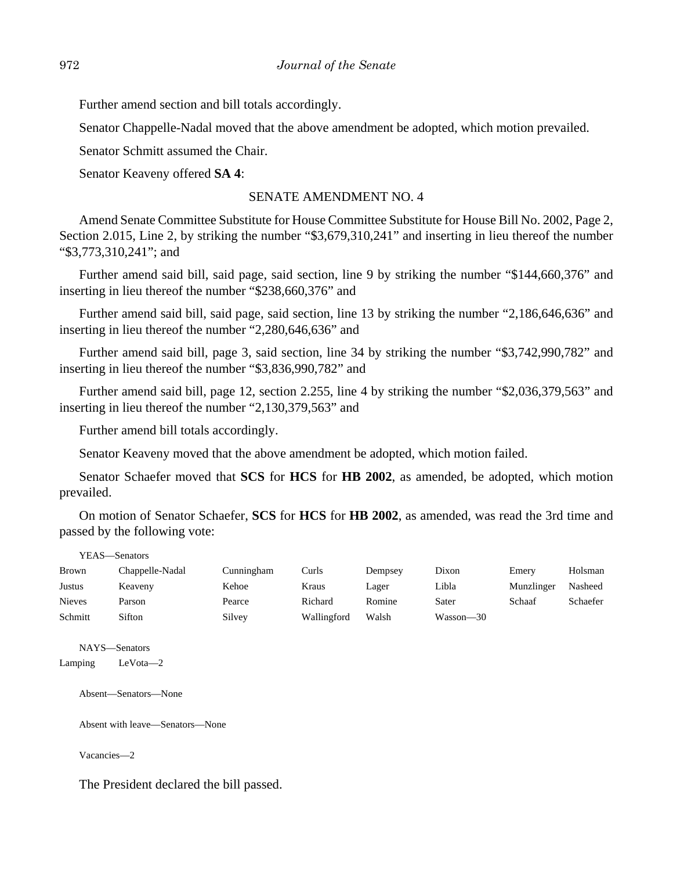Further amend section and bill totals accordingly.

Senator Chappelle-Nadal moved that the above amendment be adopted, which motion prevailed.

Senator Schmitt assumed the Chair.

Senator Keaveny offered **SA 4**:

#### SENATE AMENDMENT NO. 4

Amend Senate Committee Substitute for House Committee Substitute for House Bill No. 2002, Page 2, Section 2.015, Line 2, by striking the number "\$3,679,310,241" and inserting in lieu thereof the number "\$3,773,310,241"; and

Further amend said bill, said page, said section, line 9 by striking the number "\$144,660,376" and inserting in lieu thereof the number "\$238,660,376" and

Further amend said bill, said page, said section, line 13 by striking the number "2,186,646,636" and inserting in lieu thereof the number "2,280,646,636" and

Further amend said bill, page 3, said section, line 34 by striking the number "\$3,742,990,782" and inserting in lieu thereof the number "\$3,836,990,782" and

Further amend said bill, page 12, section 2.255, line 4 by striking the number "\$2,036,379,563" and inserting in lieu thereof the number "2,130,379,563" and

Further amend bill totals accordingly.

Senator Keaveny moved that the above amendment be adopted, which motion failed.

Senator Schaefer moved that **SCS** for **HCS** for **HB 2002**, as amended, be adopted, which motion prevailed.

On motion of Senator Schaefer, **SCS** for **HCS** for **HB 2002**, as amended, was read the 3rd time and passed by the following vote:

| YEAS—Senators |                 |            |             |         |           |            |          |
|---------------|-----------------|------------|-------------|---------|-----------|------------|----------|
| <b>Brown</b>  | Chappelle-Nadal | Cunningham | Curls       | Dempsey | Dixon     | Emery      | Holsman  |
| <b>Justus</b> | Keaveny         | Kehoe      | Kraus       | Lager   | Libla     | Munzlinger | Nasheed  |
| <b>Nieves</b> | Parson          | Pearce     | Richard     | Romine  | Sater     | Schaaf     | Schaefer |
| Schmitt       | Sifton          | Silvey     | Wallingford | Walsh   | Wasson-30 |            |          |

NAYS—Senators Lamping LeVota—2

Absent—Senators—None

Absent with leave—Senators—None

Vacancies—2

The President declared the bill passed.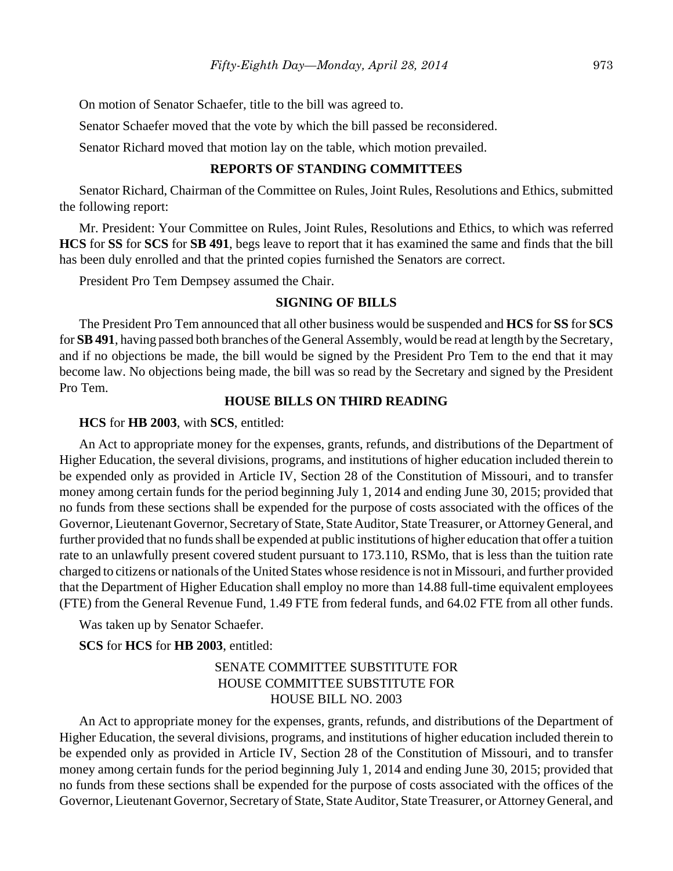On motion of Senator Schaefer, title to the bill was agreed to.

Senator Schaefer moved that the vote by which the bill passed be reconsidered.

Senator Richard moved that motion lay on the table, which motion prevailed.

## **REPORTS OF STANDING COMMITTEES**

Senator Richard, Chairman of the Committee on Rules, Joint Rules, Resolutions and Ethics, submitted the following report:

Mr. President: Your Committee on Rules, Joint Rules, Resolutions and Ethics, to which was referred **HCS** for **SS** for **SCS** for **SB 491**, begs leave to report that it has examined the same and finds that the bill has been duly enrolled and that the printed copies furnished the Senators are correct.

President Pro Tem Dempsey assumed the Chair.

## **SIGNING OF BILLS**

The President Pro Tem announced that all other business would be suspended and **HCS** for **SS** for **SCS** for **SB 491**, having passed both branches of the General Assembly, would be read at length by the Secretary, and if no objections be made, the bill would be signed by the President Pro Tem to the end that it may become law. No objections being made, the bill was so read by the Secretary and signed by the President Pro Tem.

## **HOUSE BILLS ON THIRD READING**

#### **HCS** for **HB 2003**, with **SCS**, entitled:

An Act to appropriate money for the expenses, grants, refunds, and distributions of the Department of Higher Education, the several divisions, programs, and institutions of higher education included therein to be expended only as provided in Article IV, Section 28 of the Constitution of Missouri, and to transfer money among certain funds for the period beginning July 1, 2014 and ending June 30, 2015; provided that no funds from these sections shall be expended for the purpose of costs associated with the offices of the Governor, Lieutenant Governor, Secretary of State, State Auditor, State Treasurer, or Attorney General, and further provided that no funds shall be expended at public institutions of higher education that offer a tuition rate to an unlawfully present covered student pursuant to 173.110, RSMo, that is less than the tuition rate charged to citizens or nationals of the United States whose residence is not in Missouri, and further provided that the Department of Higher Education shall employ no more than 14.88 full-time equivalent employees (FTE) from the General Revenue Fund, 1.49 FTE from federal funds, and 64.02 FTE from all other funds.

Was taken up by Senator Schaefer.

**SCS** for **HCS** for **HB 2003**, entitled:

# SENATE COMMITTEE SUBSTITUTE FOR HOUSE COMMITTEE SUBSTITUTE FOR HOUSE BILL NO. 2003

An Act to appropriate money for the expenses, grants, refunds, and distributions of the Department of Higher Education, the several divisions, programs, and institutions of higher education included therein to be expended only as provided in Article IV, Section 28 of the Constitution of Missouri, and to transfer money among certain funds for the period beginning July 1, 2014 and ending June 30, 2015; provided that no funds from these sections shall be expended for the purpose of costs associated with the offices of the Governor, Lieutenant Governor, Secretary of State, State Auditor, State Treasurer, or Attorney General, and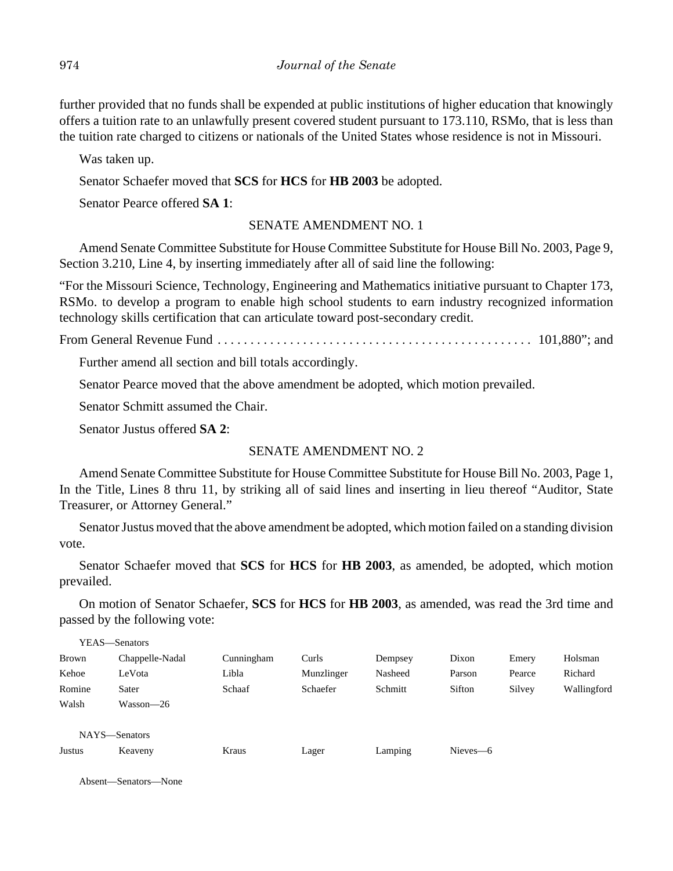further provided that no funds shall be expended at public institutions of higher education that knowingly offers a tuition rate to an unlawfully present covered student pursuant to 173.110, RSMo, that is less than the tuition rate charged to citizens or nationals of the United States whose residence is not in Missouri.

Was taken up.

Senator Schaefer moved that **SCS** for **HCS** for **HB 2003** be adopted.

Senator Pearce offered **SA 1**:

# SENATE AMENDMENT NO. 1

Amend Senate Committee Substitute for House Committee Substitute for House Bill No. 2003, Page 9, Section 3.210, Line 4, by inserting immediately after all of said line the following:

"For the Missouri Science, Technology, Engineering and Mathematics initiative pursuant to Chapter 173, RSMo. to develop a program to enable high school students to earn industry recognized information technology skills certification that can articulate toward post-secondary credit.

From General Revenue Fund . . . . . . . . . . . . . . . . . . . . . . . . . . . . . . . . . . . . . . . . . . . . . . . . 101,880"; and

Further amend all section and bill totals accordingly.

Senator Pearce moved that the above amendment be adopted, which motion prevailed.

Senator Schmitt assumed the Chair.

Senator Justus offered **SA 2**:

# SENATE AMENDMENT NO. 2

Amend Senate Committee Substitute for House Committee Substitute for House Bill No. 2003, Page 1, In the Title, Lines 8 thru 11, by striking all of said lines and inserting in lieu thereof "Auditor, State Treasurer, or Attorney General."

Senator Justus moved that the above amendment be adopted, which motion failed on a standing division vote.

Senator Schaefer moved that **SCS** for **HCS** for **HB 2003**, as amended, be adopted, which motion prevailed.

On motion of Senator Schaefer, **SCS** for **HCS** for **HB 2003**, as amended, was read the 3rd time and passed by the following vote:

|        | YEAS—Senators   |            |            |         |          |        |             |
|--------|-----------------|------------|------------|---------|----------|--------|-------------|
| Brown  | Chappelle-Nadal | Cunningham | Curls      | Dempsey | Dixon    | Emery  | Holsman     |
| Kehoe  | LeVota          | Libla      | Munzlinger | Nasheed | Parson   | Pearce | Richard     |
| Romine | Sater           | Schaaf     | Schaefer   | Schmitt | Sifton   | Silvey | Wallingford |
| Walsh  | Wasson-26       |            |            |         |          |        |             |
|        |                 |            |            |         |          |        |             |
|        | NAYS-Senators   |            |            |         |          |        |             |
| Justus | Keaveny         | Kraus      | Lager      | Lamping | Nieves-6 |        |             |

Absent—Senators—None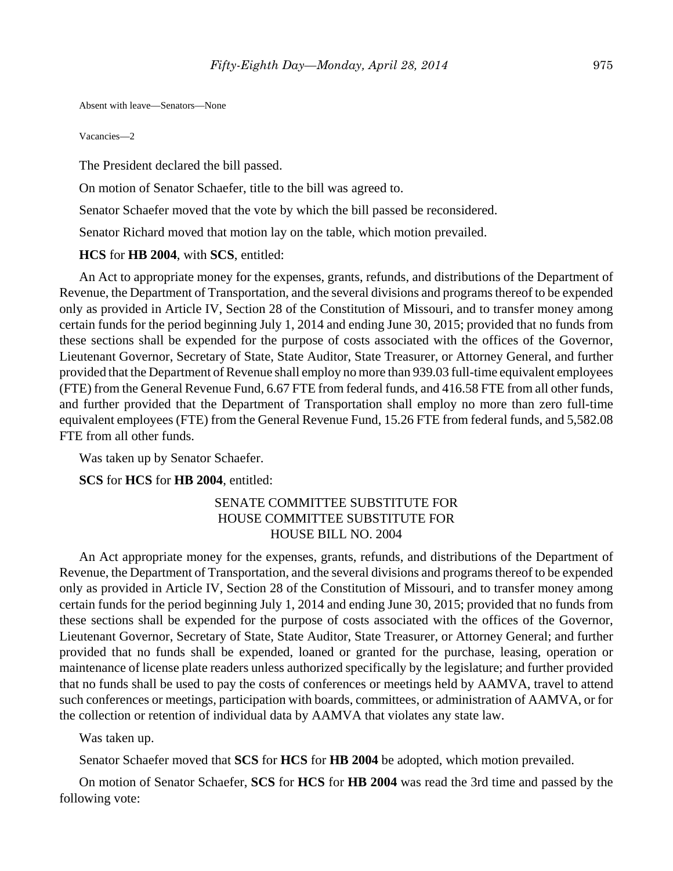Absent with leave—Senators—None

Vacancies—2

The President declared the bill passed.

On motion of Senator Schaefer, title to the bill was agreed to.

Senator Schaefer moved that the vote by which the bill passed be reconsidered.

Senator Richard moved that motion lay on the table, which motion prevailed.

#### **HCS** for **HB 2004**, with **SCS**, entitled:

An Act to appropriate money for the expenses, grants, refunds, and distributions of the Department of Revenue, the Department of Transportation, and the several divisions and programs thereof to be expended only as provided in Article IV, Section 28 of the Constitution of Missouri, and to transfer money among certain funds for the period beginning July 1, 2014 and ending June 30, 2015; provided that no funds from these sections shall be expended for the purpose of costs associated with the offices of the Governor, Lieutenant Governor, Secretary of State, State Auditor, State Treasurer, or Attorney General, and further provided that the Department of Revenue shall employ no more than 939.03 full-time equivalent employees (FTE) from the General Revenue Fund, 6.67 FTE from federal funds, and 416.58 FTE from all other funds, and further provided that the Department of Transportation shall employ no more than zero full-time equivalent employees (FTE) from the General Revenue Fund, 15.26 FTE from federal funds, and 5,582.08 FTE from all other funds.

Was taken up by Senator Schaefer.

## **SCS** for **HCS** for **HB 2004**, entitled:

## SENATE COMMITTEE SUBSTITUTE FOR HOUSE COMMITTEE SUBSTITUTE FOR HOUSE BILL NO. 2004

An Act appropriate money for the expenses, grants, refunds, and distributions of the Department of Revenue, the Department of Transportation, and the several divisions and programs thereof to be expended only as provided in Article IV, Section 28 of the Constitution of Missouri, and to transfer money among certain funds for the period beginning July 1, 2014 and ending June 30, 2015; provided that no funds from these sections shall be expended for the purpose of costs associated with the offices of the Governor, Lieutenant Governor, Secretary of State, State Auditor, State Treasurer, or Attorney General; and further provided that no funds shall be expended, loaned or granted for the purchase, leasing, operation or maintenance of license plate readers unless authorized specifically by the legislature; and further provided that no funds shall be used to pay the costs of conferences or meetings held by AAMVA, travel to attend such conferences or meetings, participation with boards, committees, or administration of AAMVA, or for the collection or retention of individual data by AAMVA that violates any state law.

Was taken up.

Senator Schaefer moved that **SCS** for **HCS** for **HB 2004** be adopted, which motion prevailed.

On motion of Senator Schaefer, **SCS** for **HCS** for **HB 2004** was read the 3rd time and passed by the following vote: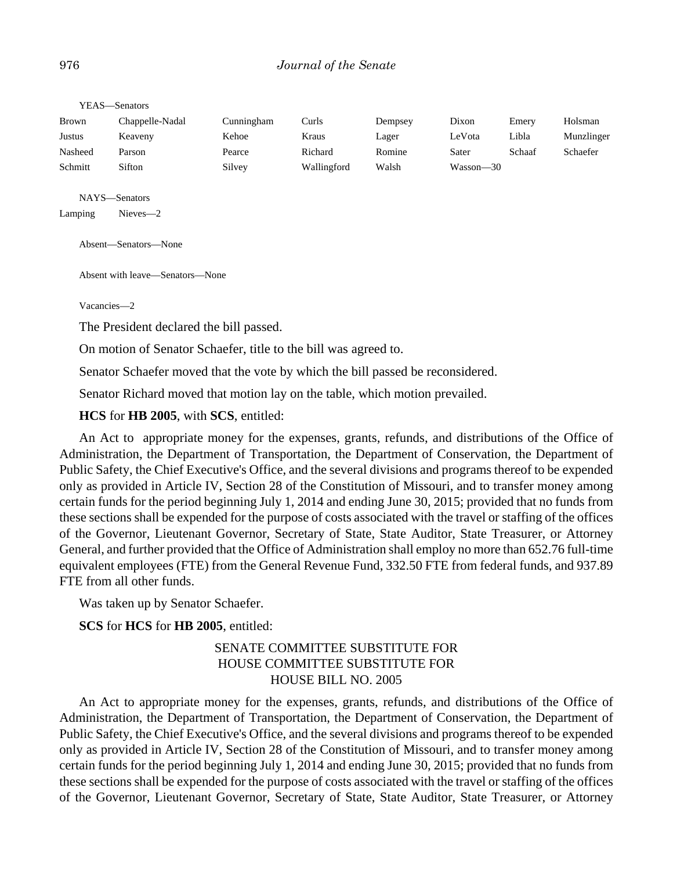| <b>Brown</b> | Chappelle-Nadal | Cunningham | Curls       | Dempsey | Dixon     | Emery  | Holsman    |
|--------------|-----------------|------------|-------------|---------|-----------|--------|------------|
| Justus       | Keaveny         | Kehoe      | Kraus       | Lager   | LeVota    | Libla  | Munzlinger |
| Nasheed      | Parson          | Pearce     | Richard     | Romine  | Sater     | Schaaf | Schaefer   |
| Schmitt      | Sifton          | Silvey     | Wallingford | Walsh   | Wasson—30 |        |            |

YEAS—Senators

NAYS—Senators

Lamping Nieves—2

Absent—Senators—None

Absent with leave—Senators—None

Vacancies—2

The President declared the bill passed.

On motion of Senator Schaefer, title to the bill was agreed to.

Senator Schaefer moved that the vote by which the bill passed be reconsidered.

Senator Richard moved that motion lay on the table, which motion prevailed.

**HCS** for **HB 2005**, with **SCS**, entitled:

An Act to appropriate money for the expenses, grants, refunds, and distributions of the Office of Administration, the Department of Transportation, the Department of Conservation, the Department of Public Safety, the Chief Executive's Office, and the several divisions and programs thereof to be expended only as provided in Article IV, Section 28 of the Constitution of Missouri, and to transfer money among certain funds for the period beginning July 1, 2014 and ending June 30, 2015; provided that no funds from these sections shall be expended for the purpose of costs associated with the travel or staffing of the offices of the Governor, Lieutenant Governor, Secretary of State, State Auditor, State Treasurer, or Attorney General, and further provided that the Office of Administration shall employ no more than 652.76 full-time equivalent employees (FTE) from the General Revenue Fund, 332.50 FTE from federal funds, and 937.89 FTE from all other funds.

Was taken up by Senator Schaefer.

**SCS** for **HCS** for **HB 2005**, entitled:

# SENATE COMMITTEE SUBSTITUTE FOR HOUSE COMMITTEE SUBSTITUTE FOR HOUSE BILL NO. 2005

An Act to appropriate money for the expenses, grants, refunds, and distributions of the Office of Administration, the Department of Transportation, the Department of Conservation, the Department of Public Safety, the Chief Executive's Office, and the several divisions and programs thereof to be expended only as provided in Article IV, Section 28 of the Constitution of Missouri, and to transfer money among certain funds for the period beginning July 1, 2014 and ending June 30, 2015; provided that no funds from these sections shall be expended for the purpose of costs associated with the travel or staffing of the offices of the Governor, Lieutenant Governor, Secretary of State, State Auditor, State Treasurer, or Attorney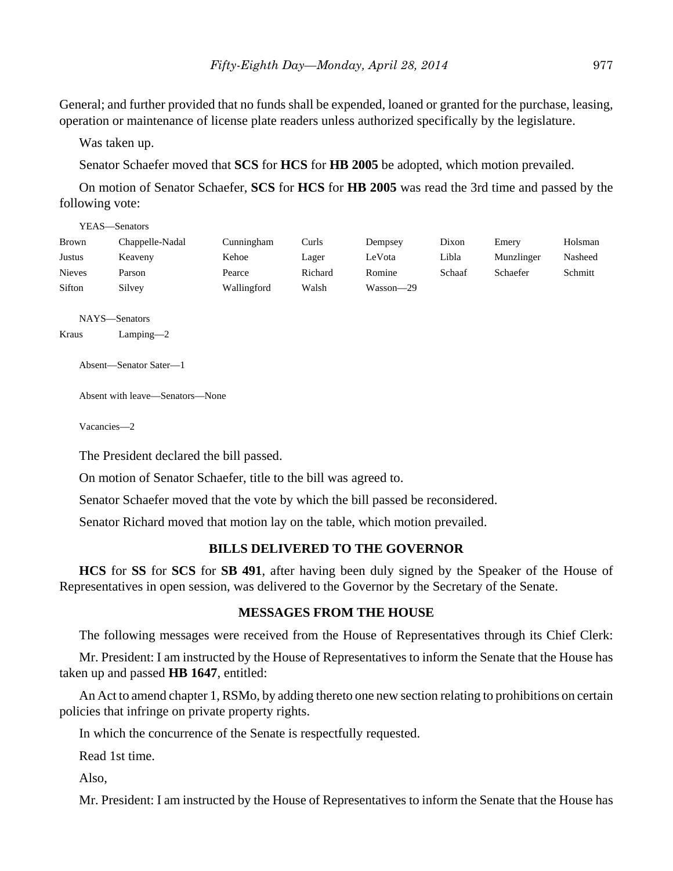General; and further provided that no funds shall be expended, loaned or granted for the purchase, leasing, operation or maintenance of license plate readers unless authorized specifically by the legislature.

Was taken up.

Senator Schaefer moved that **SCS** for **HCS** for **HB 2005** be adopted, which motion prevailed.

On motion of Senator Schaefer, **SCS** for **HCS** for **HB 2005** was read the 3rd time and passed by the following vote:

|               | YEAS—Senators   |             |         |           |        |            |         |
|---------------|-----------------|-------------|---------|-----------|--------|------------|---------|
| Brown         | Chappelle-Nadal | Cunningham  | Curls   | Dempsey   | Dixon  | Emery      | Holsman |
| Justus        | Keaveny         | Kehoe       | Lager   | LeVota    | Libla  | Munzlinger | Nasheed |
| <b>Nieves</b> | Parson          | Pearce      | Richard | Romine    | Schaaf | Schaefer   | Schmitt |
| Sifton        | Silvey          | Wallingford | Walsh   | Wasson—29 |        |            |         |

```
NAYS—Senators
Kraus Lamping—2
```
Absent—Senator Sater—1

Absent with leave—Senators—None

Vacancies—2

The President declared the bill passed.

On motion of Senator Schaefer, title to the bill was agreed to.

Senator Schaefer moved that the vote by which the bill passed be reconsidered.

Senator Richard moved that motion lay on the table, which motion prevailed.

#### **BILLS DELIVERED TO THE GOVERNOR**

**HCS** for **SS** for **SCS** for **SB 491**, after having been duly signed by the Speaker of the House of Representatives in open session, was delivered to the Governor by the Secretary of the Senate.

## **MESSAGES FROM THE HOUSE**

The following messages were received from the House of Representatives through its Chief Clerk:

Mr. President: I am instructed by the House of Representatives to inform the Senate that the House has taken up and passed **HB 1647**, entitled:

An Act to amend chapter 1, RSMo, by adding thereto one new section relating to prohibitions on certain policies that infringe on private property rights.

In which the concurrence of the Senate is respectfully requested.

Read 1st time.

Also,

Mr. President: I am instructed by the House of Representatives to inform the Senate that the House has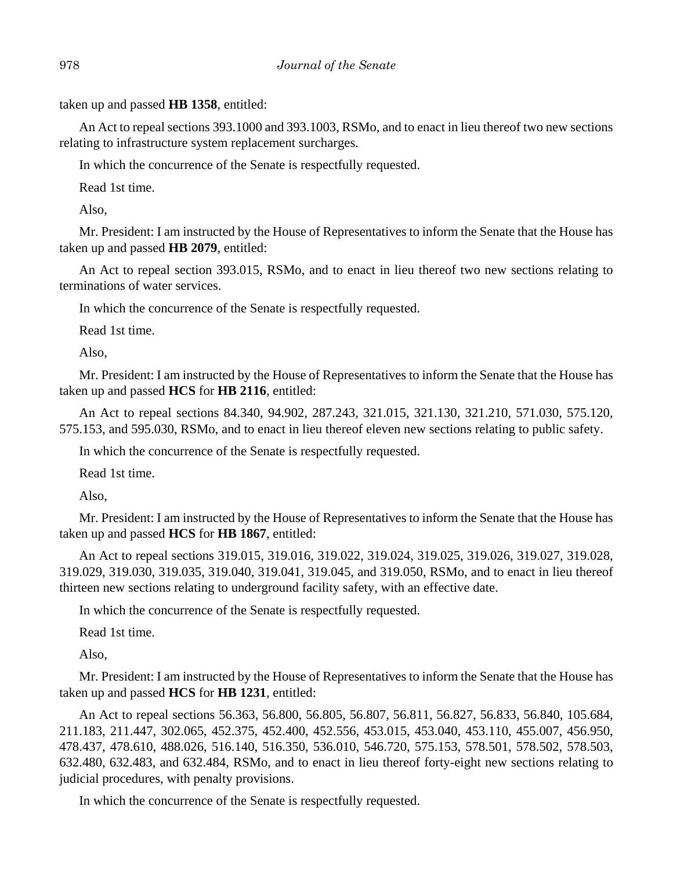taken up and passed **HB 1358**, entitled:

An Act to repeal sections 393.1000 and 393.1003, RSMo, and to enact in lieu thereof two new sections relating to infrastructure system replacement surcharges.

In which the concurrence of the Senate is respectfully requested.

Read 1st time.

Also,

Mr. President: I am instructed by the House of Representatives to inform the Senate that the House has taken up and passed **HB 2079**, entitled:

An Act to repeal section 393.015, RSMo, and to enact in lieu thereof two new sections relating to terminations of water services.

In which the concurrence of the Senate is respectfully requested.

Read 1st time.

Also,

Mr. President: I am instructed by the House of Representatives to inform the Senate that the House has taken up and passed **HCS** for **HB 2116**, entitled:

An Act to repeal sections 84.340, 94.902, 287.243, 321.015, 321.130, 321.210, 571.030, 575.120, 575.153, and 595.030, RSMo, and to enact in lieu thereof eleven new sections relating to public safety.

In which the concurrence of the Senate is respectfully requested.

Read 1st time.

Also,

Mr. President: I am instructed by the House of Representatives to inform the Senate that the House has taken up and passed **HCS** for **HB 1867**, entitled:

An Act to repeal sections 319.015, 319.016, 319.022, 319.024, 319.025, 319.026, 319.027, 319.028, 319.029, 319.030, 319.035, 319.040, 319.041, 319.045, and 319.050, RSMo, and to enact in lieu thereof thirteen new sections relating to underground facility safety, with an effective date.

In which the concurrence of the Senate is respectfully requested.

Read 1st time.

Also,

Mr. President: I am instructed by the House of Representatives to inform the Senate that the House has taken up and passed **HCS** for **HB 1231**, entitled:

An Act to repeal sections 56.363, 56.800, 56.805, 56.807, 56.811, 56.827, 56.833, 56.840, 105.684, 211.183, 211.447, 302.065, 452.375, 452.400, 452.556, 453.015, 453.040, 453.110, 455.007, 456.950, 478.437, 478.610, 488.026, 516.140, 516.350, 536.010, 546.720, 575.153, 578.501, 578.502, 578.503, 632.480, 632.483, and 632.484, RSMo, and to enact in lieu thereof forty-eight new sections relating to judicial procedures, with penalty provisions.

In which the concurrence of the Senate is respectfully requested.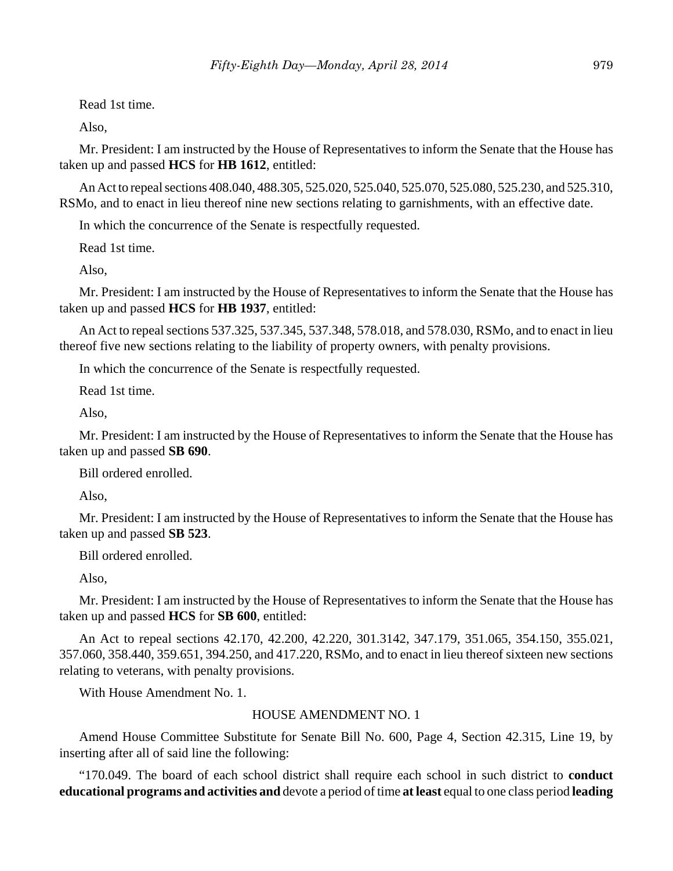Read 1st time.

Also,

Mr. President: I am instructed by the House of Representatives to inform the Senate that the House has taken up and passed **HCS** for **HB 1612**, entitled:

An Act to repeal sections 408.040, 488.305, 525.020, 525.040, 525.070, 525.080, 525.230, and 525.310, RSMo, and to enact in lieu thereof nine new sections relating to garnishments, with an effective date.

In which the concurrence of the Senate is respectfully requested.

Read 1st time.

Also,

Mr. President: I am instructed by the House of Representatives to inform the Senate that the House has taken up and passed **HCS** for **HB 1937**, entitled:

An Act to repeal sections 537.325, 537.345, 537.348, 578.018, and 578.030, RSMo, and to enact in lieu thereof five new sections relating to the liability of property owners, with penalty provisions.

In which the concurrence of the Senate is respectfully requested.

Read 1st time.

Also,

Mr. President: I am instructed by the House of Representatives to inform the Senate that the House has taken up and passed **SB 690**.

Bill ordered enrolled.

Also,

Mr. President: I am instructed by the House of Representatives to inform the Senate that the House has taken up and passed **SB 523**.

Bill ordered enrolled.

Also,

Mr. President: I am instructed by the House of Representatives to inform the Senate that the House has taken up and passed **HCS** for **SB 600**, entitled:

An Act to repeal sections 42.170, 42.200, 42.220, 301.3142, 347.179, 351.065, 354.150, 355.021, 357.060, 358.440, 359.651, 394.250, and 417.220, RSMo, and to enact in lieu thereof sixteen new sections relating to veterans, with penalty provisions.

With House Amendment No. 1.

## HOUSE AMENDMENT NO. 1

Amend House Committee Substitute for Senate Bill No. 600, Page 4, Section 42.315, Line 19, by inserting after all of said line the following:

"170.049. The board of each school district shall require each school in such district to **conduct educational programs and activities and** devote a period of time **at least** equal to one class period **leading**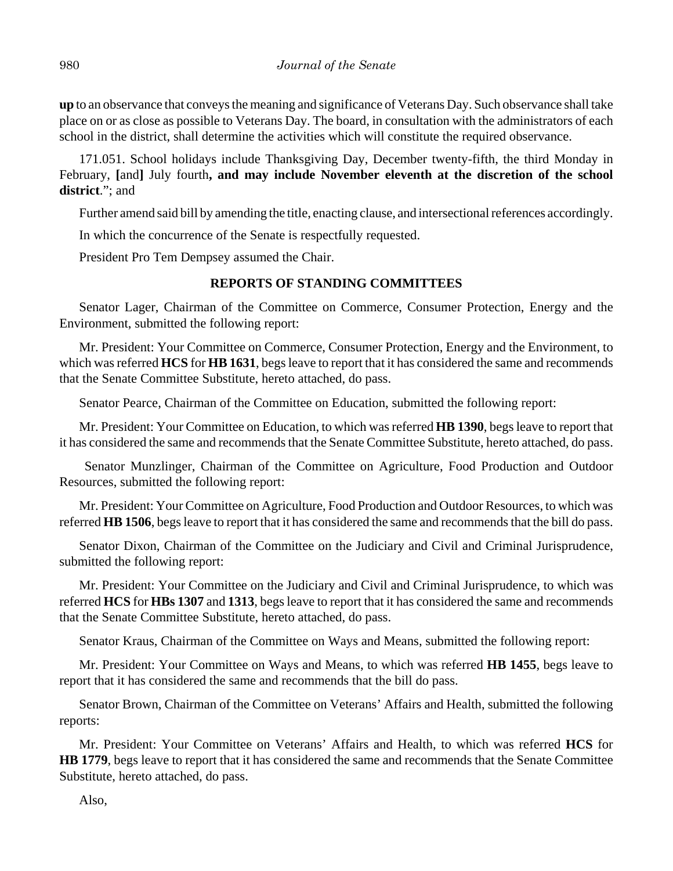**up** to an observance that conveys the meaning and significance of Veterans Day. Such observance shall take place on or as close as possible to Veterans Day. The board, in consultation with the administrators of each school in the district, shall determine the activities which will constitute the required observance.

171.051. School holidays include Thanksgiving Day, December twenty-fifth, the third Monday in February, **[**and**]** July fourth**, and may include November eleventh at the discretion of the school district**."; and

Further amend said bill by amending the title, enacting clause, and intersectional references accordingly.

In which the concurrence of the Senate is respectfully requested.

President Pro Tem Dempsey assumed the Chair.

# **REPORTS OF STANDING COMMITTEES**

Senator Lager, Chairman of the Committee on Commerce, Consumer Protection, Energy and the Environment, submitted the following report:

Mr. President: Your Committee on Commerce, Consumer Protection, Energy and the Environment, to which was referred **HCS** for **HB 1631**, begs leave to report that it has considered the same and recommends that the Senate Committee Substitute, hereto attached, do pass.

Senator Pearce, Chairman of the Committee on Education, submitted the following report:

Mr. President: Your Committee on Education, to which was referred **HB 1390**, begs leave to report that it has considered the same and recommends that the Senate Committee Substitute, hereto attached, do pass.

 Senator Munzlinger, Chairman of the Committee on Agriculture, Food Production and Outdoor Resources, submitted the following report:

Mr. President: Your Committee on Agriculture, Food Production and Outdoor Resources, to which was referred **HB 1506**, begs leave to report that it has considered the same and recommends that the bill do pass.

Senator Dixon, Chairman of the Committee on the Judiciary and Civil and Criminal Jurisprudence, submitted the following report:

Mr. President: Your Committee on the Judiciary and Civil and Criminal Jurisprudence, to which was referred **HCS** for **HBs 1307** and **1313**, begs leave to report that it has considered the same and recommends that the Senate Committee Substitute, hereto attached, do pass.

Senator Kraus, Chairman of the Committee on Ways and Means, submitted the following report:

Mr. President: Your Committee on Ways and Means, to which was referred **HB 1455**, begs leave to report that it has considered the same and recommends that the bill do pass.

Senator Brown, Chairman of the Committee on Veterans' Affairs and Health, submitted the following reports:

Mr. President: Your Committee on Veterans' Affairs and Health, to which was referred **HCS** for **HB 1779**, begs leave to report that it has considered the same and recommends that the Senate Committee Substitute, hereto attached, do pass.

Also,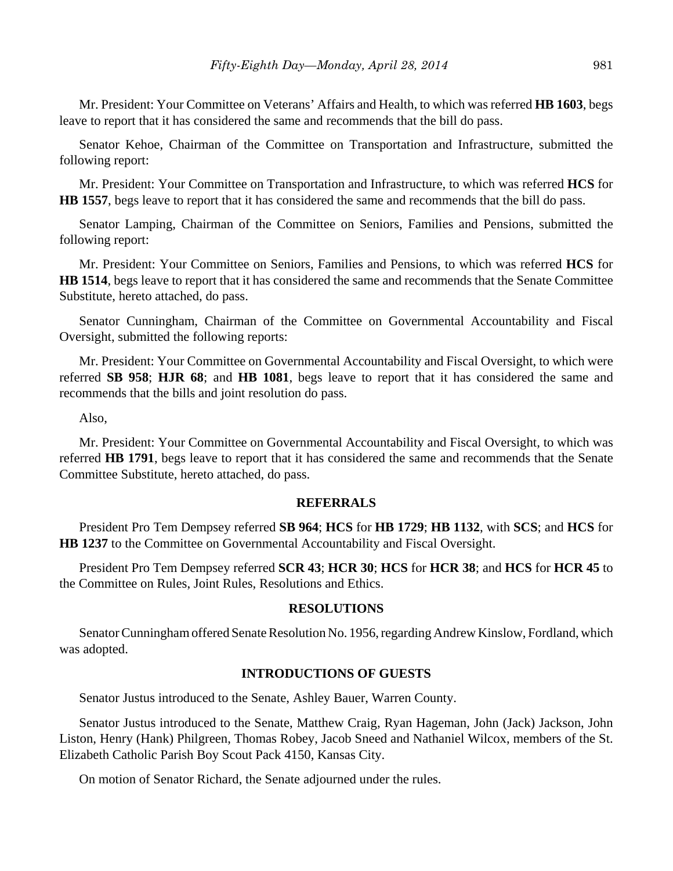Mr. President: Your Committee on Veterans' Affairs and Health, to which was referred **HB 1603**, begs leave to report that it has considered the same and recommends that the bill do pass.

Senator Kehoe, Chairman of the Committee on Transportation and Infrastructure, submitted the following report:

Mr. President: Your Committee on Transportation and Infrastructure, to which was referred **HCS** for **HB 1557**, begs leave to report that it has considered the same and recommends that the bill do pass.

Senator Lamping, Chairman of the Committee on Seniors, Families and Pensions, submitted the following report:

Mr. President: Your Committee on Seniors, Families and Pensions, to which was referred **HCS** for **HB 1514**, begs leave to report that it has considered the same and recommends that the Senate Committee Substitute, hereto attached, do pass.

Senator Cunningham, Chairman of the Committee on Governmental Accountability and Fiscal Oversight, submitted the following reports:

Mr. President: Your Committee on Governmental Accountability and Fiscal Oversight, to which were referred **SB 958**; **HJR 68**; and **HB 1081**, begs leave to report that it has considered the same and recommends that the bills and joint resolution do pass.

Also,

Mr. President: Your Committee on Governmental Accountability and Fiscal Oversight, to which was referred **HB 1791**, begs leave to report that it has considered the same and recommends that the Senate Committee Substitute, hereto attached, do pass.

#### **REFERRALS**

President Pro Tem Dempsey referred **SB 964**; **HCS** for **HB 1729**; **HB 1132**, with **SCS**; and **HCS** for **HB 1237** to the Committee on Governmental Accountability and Fiscal Oversight.

President Pro Tem Dempsey referred **SCR 43**; **HCR 30**; **HCS** for **HCR 38**; and **HCS** for **HCR 45** to the Committee on Rules, Joint Rules, Resolutions and Ethics.

#### **RESOLUTIONS**

Senator Cunningham offered Senate Resolution No. 1956, regarding Andrew Kinslow, Fordland, which was adopted.

## **INTRODUCTIONS OF GUESTS**

Senator Justus introduced to the Senate, Ashley Bauer, Warren County.

Senator Justus introduced to the Senate, Matthew Craig, Ryan Hageman, John (Jack) Jackson, John Liston, Henry (Hank) Philgreen, Thomas Robey, Jacob Sneed and Nathaniel Wilcox, members of the St. Elizabeth Catholic Parish Boy Scout Pack 4150, Kansas City.

On motion of Senator Richard, the Senate adjourned under the rules.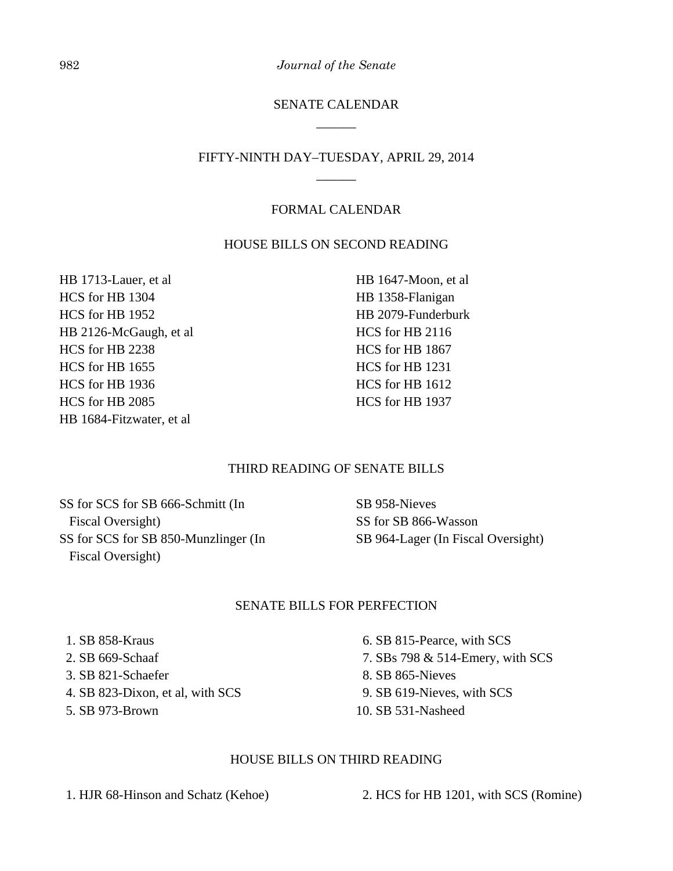982 *Journal of the Senate*

# SENATE CALENDAR \_\_\_\_\_\_

# FIFTY-NINTH DAY–TUESDAY, APRIL 29, 2014 \_\_\_\_\_\_

## FORMAL CALENDAR

## HOUSE BILLS ON SECOND READING

HB 1713-Lauer, et al HCS for HB 1304 HCS for HB 1952 HB 2126-McGaugh, et al HCS for HB 2238 HCS for HB 1655 HCS for HB 1936 HCS for HB 2085 HB 1684-Fitzwater, et al

HB 1647-Moon, et al HB 1358-Flanigan HB 2079-Funderburk HCS for HB 2116 HCS for HB 1867 HCS for HB 1231 HCS for HB 1612 HCS for HB 1937

#### THIRD READING OF SENATE BILLS

SS for SCS for SB 666-Schmitt (In Fiscal Oversight) SS for SCS for SB 850-Munzlinger (In Fiscal Oversight)

SB 958-Nieves SS for SB 866-Wasson SB 964-Lager (In Fiscal Oversight)

## SENATE BILLS FOR PERFECTION

- 1. SB 858-Kraus
- 2. SB 669-Schaaf
- 3. SB 821-Schaefer
- 4. SB 823-Dixon, et al, with SCS
- 5. SB 973-Brown
- 6. SB 815-Pearce, with SCS
- 7. SBs 798 & 514-Emery, with SCS
- 8. SB 865-Nieves
- 9. SB 619-Nieves, with SCS
- 10. SB 531-Nasheed

#### HOUSE BILLS ON THIRD READING

1. HJR 68-Hinson and Schatz (Kehoe) 2. HCS for HB 1201, with SCS (Romine)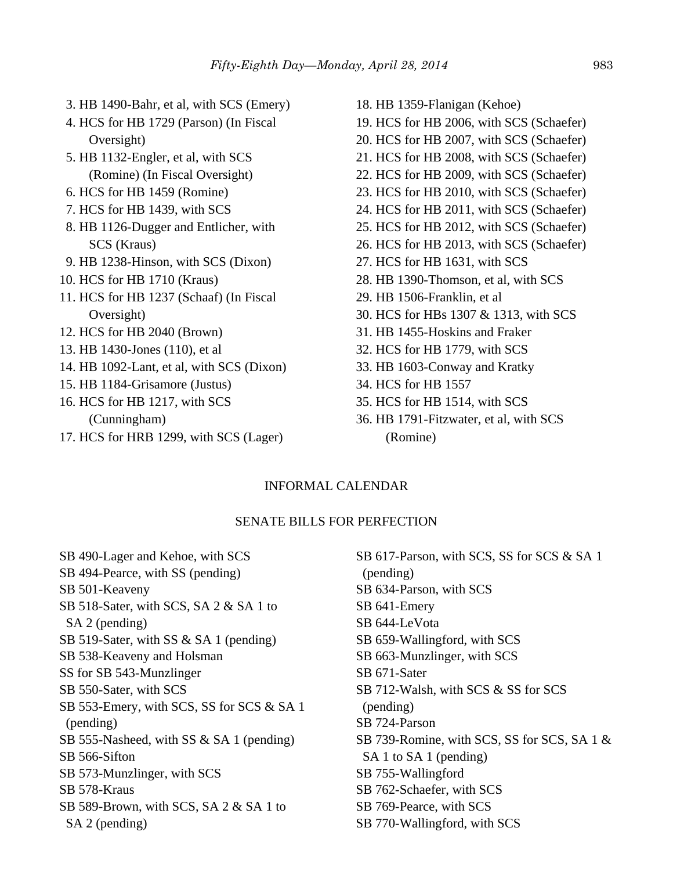| 3. HB 1490-Bahr, et al, with SCS (Emery)  | 18. HB 1359-Flanigan (Kehoe)             |
|-------------------------------------------|------------------------------------------|
| 4. HCS for HB 1729 (Parson) (In Fiscal    | 19. HCS for HB 2006, with SCS (Schaefer) |
| Oversight)                                | 20. HCS for HB 2007, with SCS (Schaefer) |
| 5. HB 1132-Engler, et al, with SCS        | 21. HCS for HB 2008, with SCS (Schaefer) |
| (Romine) (In Fiscal Oversight)            | 22. HCS for HB 2009, with SCS (Schaefer) |
| 6. HCS for HB 1459 (Romine)               | 23. HCS for HB 2010, with SCS (Schaefer) |
| 7. HCS for HB 1439, with SCS              | 24. HCS for HB 2011, with SCS (Schaefer) |
| 8. HB 1126-Dugger and Entlicher, with     | 25. HCS for HB 2012, with SCS (Schaefer) |
| SCS (Kraus)                               | 26. HCS for HB 2013, with SCS (Schaefer) |
| 9. HB 1238-Hinson, with SCS (Dixon)       | 27. HCS for HB 1631, with SCS            |
| 10. HCS for HB 1710 (Kraus)               | 28. HB 1390-Thomson, et al, with SCS     |
| 11. HCS for HB 1237 (Schaaf) (In Fiscal   | 29. HB 1506-Franklin, et al              |
| Oversight)                                | 30. HCS for HBs 1307 & 1313, with SCS    |
| 12. HCS for HB 2040 (Brown)               | 31. HB 1455-Hoskins and Fraker           |
| 13. HB 1430-Jones (110), et al.           | 32. HCS for HB 1779, with SCS            |
| 14. HB 1092-Lant, et al, with SCS (Dixon) | 33. HB 1603-Conway and Kratky            |
| 15. HB 1184-Grisamore (Justus)            | 34. HCS for HB 1557                      |
| 16. HCS for HB 1217, with SCS             | 35. HCS for HB 1514, with SCS            |
| (Cunningham)                              | 36. HB 1791-Fitzwater, et al, with SCS   |
| 17. HCS for HRB 1299, with SCS (Lager)    | (Romine)                                 |
|                                           |                                          |

## INFORMAL CALENDAR

#### SENATE BILLS FOR PERFECTION

SB 490-Lager and Kehoe, with SCS SB 494-Pearce, with SS (pending) SB 501-Keaveny SB 518-Sater, with SCS, SA 2 & SA 1 to SA 2 (pending) SB 519-Sater, with SS & SA 1 (pending) SB 538-Keaveny and Holsman SS for SB 543-Munzlinger SB 550-Sater, with SCS SB 553-Emery, with SCS, SS for SCS & SA 1 (pending) SB 555-Nasheed, with SS & SA 1 (pending) SB 566-Sifton SB 573-Munzlinger, with SCS SB 578-Kraus SB 589-Brown, with SCS, SA 2 & SA 1 to SA 2 (pending)

SB 617-Parson, with SCS, SS for SCS & SA 1 (pending) SB 634-Parson, with SCS SB 641-Emery SB 644-LeVota SB 659-Wallingford, with SCS SB 663-Munzlinger, with SCS SB 671-Sater SB 712-Walsh, with SCS & SS for SCS (pending) SB 724-Parson SB 739-Romine, with SCS, SS for SCS, SA 1 & SA 1 to SA 1 (pending) SB 755-Wallingford SB 762-Schaefer, with SCS SB 769-Pearce, with SCS SB 770-Wallingford, with SCS